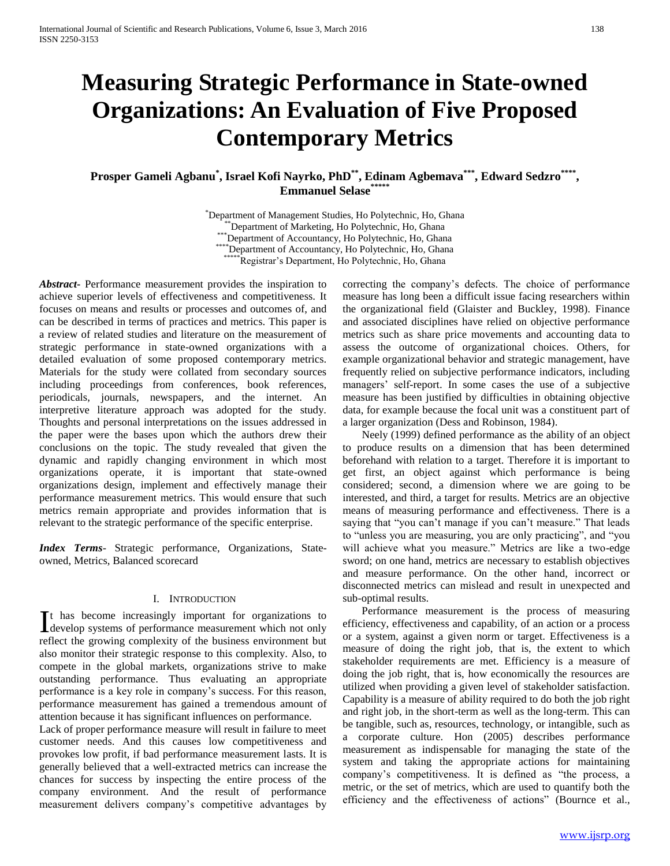# **Measuring Strategic Performance in State-owned Organizations: An Evaluation of Five Proposed Contemporary Metrics**

## **Prosper Gameli Agbanu\* , Israel Kofi Nayrko, PhD\*\*, Edinam Agbemava\*\*\* , Edward Sedzro\*\*\*\* , Emmanuel Selase\*\*\*\*\***

\*Department of Management Studies, Ho Polytechnic, Ho, Ghana \*Department of Marketing, Ho Polytechnic, Ho, Ghana **Expansion of Accountancy, Ho Polytechnic, Ho, Ghana** \*\*\*\*Department of Accountancy, Ho Polytechnic, Ho, Ghana \*\*\*\*\*Registrar's Department, Ho Polytechnic, Ho, Ghana

*Abstract***-** Performance measurement provides the inspiration to achieve superior levels of effectiveness and competitiveness. It focuses on means and results or processes and outcomes of, and can be described in terms of practices and metrics. This paper is a review of related studies and literature on the measurement of strategic performance in state-owned organizations with a detailed evaluation of some proposed contemporary metrics. Materials for the study were collated from secondary sources including proceedings from conferences, book references, periodicals, journals, newspapers, and the internet. An interpretive literature approach was adopted for the study. Thoughts and personal interpretations on the issues addressed in the paper were the bases upon which the authors drew their conclusions on the topic. The study revealed that given the dynamic and rapidly changing environment in which most organizations operate, it is important that state-owned organizations design, implement and effectively manage their performance measurement metrics. This would ensure that such metrics remain appropriate and provides information that is relevant to the strategic performance of the specific enterprise.

*Index Terms*- Strategic performance, Organizations, Stateowned, Metrics, Balanced scorecard

## I. INTRODUCTION

t has become increasingly important for organizations to  $\prod$ t has become increasingly important for organizations to develop systems of performance measurement which not only reflect the growing complexity of the business environment but also monitor their strategic response to this complexity. Also, to compete in the global markets, organizations strive to make outstanding performance. Thus evaluating an appropriate performance is a key role in company's success. For this reason, performance measurement has gained a tremendous amount of attention because it has significant influences on performance.

Lack of proper performance measure will result in failure to meet customer needs. And this causes low competitiveness and provokes low profit, if bad performance measurement lasts. It is generally believed that a well-extracted metrics can increase the chances for success by inspecting the entire process of the company environment. And the result of performance measurement delivers company's competitive advantages by correcting the company's defects. The choice of performance measure has long been a difficult issue facing researchers within the organizational field (Glaister and Buckley, 1998). Finance and associated disciplines have relied on objective performance metrics such as share price movements and accounting data to assess the outcome of organizational choices. Others, for example organizational behavior and strategic management, have frequently relied on subjective performance indicators, including managers' self-report. In some cases the use of a subjective measure has been justified by difficulties in obtaining objective data, for example because the focal unit was a constituent part of a larger organization (Dess and Robinson, 1984).

 Neely (1999) defined performance as the ability of an object to produce results on a dimension that has been determined beforehand with relation to a target. Therefore it is important to get first, an object against which performance is being considered; second, a dimension where we are going to be interested, and third, a target for results. Metrics are an objective means of measuring performance and effectiveness. There is a saying that "you can't manage if you can't measure." That leads to "unless you are measuring, you are only practicing", and "you will achieve what you measure." Metrics are like a two-edge sword; on one hand, metrics are necessary to establish objectives and measure performance. On the other hand, incorrect or disconnected metrics can mislead and result in unexpected and sub-optimal results.

 Performance measurement is the process of measuring efficiency, effectiveness and capability, of an action or a process or a system, against a given norm or target. Effectiveness is a measure of doing the right job, that is, the extent to which stakeholder requirements are met. Efficiency is a measure of doing the job right, that is, how economically the resources are utilized when providing a given level of stakeholder satisfaction. Capability is a measure of ability required to do both the job right and right job, in the short-term as well as the long-term. This can be tangible, such as, resources, technology, or intangible, such as a corporate culture. Hon (2005) describes performance measurement as indispensable for managing the state of the system and taking the appropriate actions for maintaining company's competitiveness. It is defined as "the process, a metric, or the set of metrics, which are used to quantify both the efficiency and the effectiveness of actions" (Bournce et al.,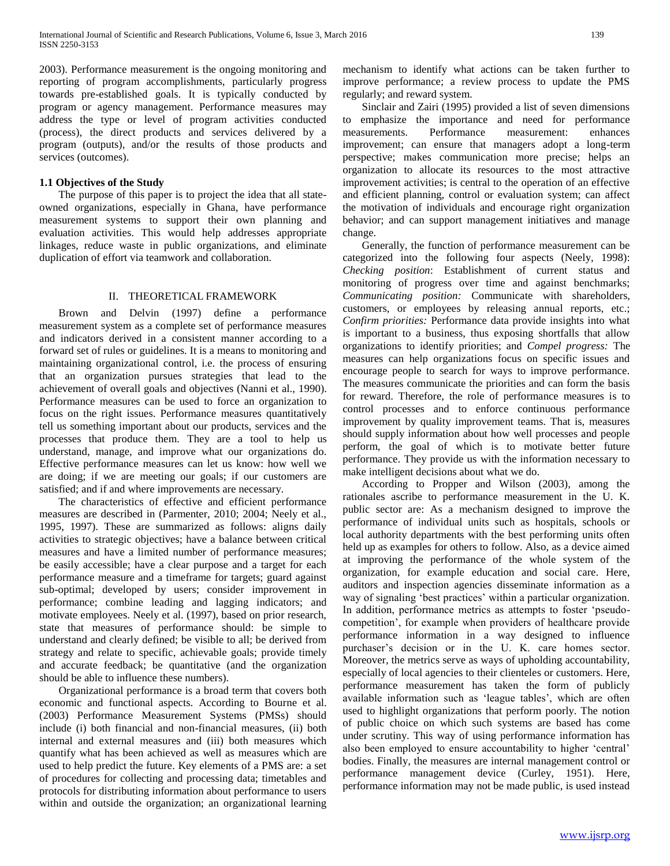2003). Performance measurement is the ongoing monitoring and reporting of program accomplishments, particularly progress towards pre-established goals. It is typically conducted by program or agency management. Performance measures may address the type or level of program activities conducted (process), the direct products and services delivered by a program (outputs), and/or the results of those products and services (outcomes).

#### **1.1 Objectives of the Study**

 The purpose of this paper is to project the idea that all stateowned organizations, especially in Ghana, have performance measurement systems to support their own planning and evaluation activities. This would help addresses appropriate linkages, reduce waste in public organizations, and eliminate duplication of effort via teamwork and collaboration.

#### II. THEORETICAL FRAMEWORK

 Brown and Delvin (1997) define a performance measurement system as a complete set of performance measures and indicators derived in a consistent manner according to a forward set of rules or guidelines. It is a means to monitoring and maintaining organizational control, i.e. the process of ensuring that an organization pursues strategies that lead to the achievement of overall goals and objectives (Nanni et al., 1990). Performance measures can be used to force an organization to focus on the right issues. Performance measures quantitatively tell us something important about our products, services and the processes that produce them. They are a tool to help us understand, manage, and improve what our organizations do. Effective performance measures can let us know: how well we are doing; if we are meeting our goals; if our customers are satisfied; and if and where improvements are necessary.

 The characteristics of effective and efficient performance measures are described in (Parmenter, 2010; 2004; Neely et al., 1995, 1997). These are summarized as follows: aligns daily activities to strategic objectives; have a balance between critical measures and have a limited number of performance measures; be easily accessible; have a clear purpose and a target for each performance measure and a timeframe for targets; guard against sub-optimal; developed by users; consider improvement in performance; combine leading and lagging indicators; and motivate employees. Neely et al. (1997), based on prior research, state that measures of performance should: be simple to understand and clearly defined; be visible to all; be derived from strategy and relate to specific, achievable goals; provide timely and accurate feedback; be quantitative (and the organization should be able to influence these numbers).

 Organizational performance is a broad term that covers both economic and functional aspects. According to Bourne et al. (2003) Performance Measurement Systems (PMSs) should include (i) both financial and non-financial measures, (ii) both internal and external measures and (iii) both measures which quantify what has been achieved as well as measures which are used to help predict the future. Key elements of a PMS are: a set of procedures for collecting and processing data; timetables and protocols for distributing information about performance to users within and outside the organization; an organizational learning

mechanism to identify what actions can be taken further to improve performance; a review process to update the PMS regularly; and reward system.

 Sinclair and Zairi (1995) provided a list of seven dimensions to emphasize the importance and need for performance measurements. Performance measurement: enhances improvement; can ensure that managers adopt a long-term perspective; makes communication more precise; helps an organization to allocate its resources to the most attractive improvement activities; is central to the operation of an effective and efficient planning, control or evaluation system; can affect the motivation of individuals and encourage right organization behavior; and can support management initiatives and manage change.

 Generally, the function of performance measurement can be categorized into the following four aspects (Neely, 1998): *Checking position*: Establishment of current status and monitoring of progress over time and against benchmarks; *Communicating position:* Communicate with shareholders, customers, or employees by releasing annual reports, etc.; *Confirm priorities:* Performance data provide insights into what is important to a business, thus exposing shortfalls that allow organizations to identify priorities; and *Compel progress:* The measures can help organizations focus on specific issues and encourage people to search for ways to improve performance. The measures communicate the priorities and can form the basis for reward. Therefore, the role of performance measures is to control processes and to enforce continuous performance improvement by quality improvement teams. That is, measures should supply information about how well processes and people perform, the goal of which is to motivate better future performance. They provide us with the information necessary to make intelligent decisions about what we do.

 According to Propper and Wilson (2003), among the rationales ascribe to performance measurement in the U. K. public sector are: As a mechanism designed to improve the performance of individual units such as hospitals, schools or local authority departments with the best performing units often held up as examples for others to follow. Also, as a device aimed at improving the performance of the whole system of the organization, for example education and social care. Here, auditors and inspection agencies disseminate information as a way of signaling 'best practices' within a particular organization. In addition, performance metrics as attempts to foster 'pseudocompetition', for example when providers of healthcare provide performance information in a way designed to influence purchaser's decision or in the U. K. care homes sector. Moreover, the metrics serve as ways of upholding accountability, especially of local agencies to their clienteles or customers. Here, performance measurement has taken the form of publicly available information such as 'league tables', which are often used to highlight organizations that perform poorly. The notion of public choice on which such systems are based has come under scrutiny. This way of using performance information has also been employed to ensure accountability to higher 'central' bodies. Finally, the measures are internal management control or performance management device (Curley, 1951). Here, performance information may not be made public, is used instead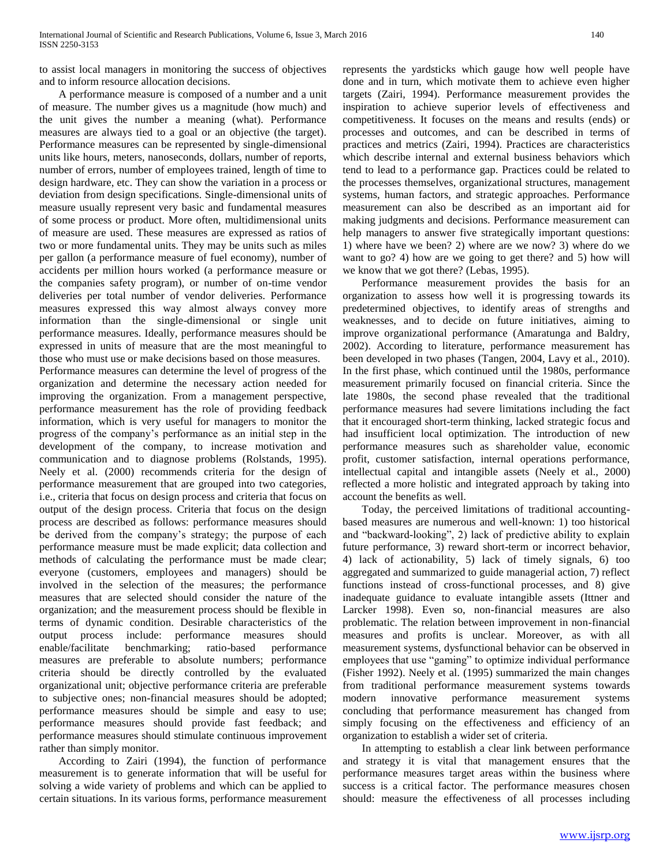to assist local managers in monitoring the success of objectives and to inform resource allocation decisions.

 A performance measure is composed of a number and a unit of measure. The number gives us a magnitude (how much) and the unit gives the number a meaning (what). Performance measures are always tied to a goal or an objective (the target). Performance measures can be represented by single-dimensional units like hours, meters, nanoseconds, dollars, number of reports, number of errors, number of employees trained, length of time to design hardware, etc. They can show the variation in a process or deviation from design specifications. Single-dimensional units of measure usually represent very basic and fundamental measures of some process or product. More often, multidimensional units of measure are used. These measures are expressed as ratios of two or more fundamental units. They may be units such as miles per gallon (a performance measure of fuel economy), number of accidents per million hours worked (a performance measure or the companies safety program), or number of on-time vendor deliveries per total number of vendor deliveries. Performance measures expressed this way almost always convey more information than the single-dimensional or single unit performance measures. Ideally, performance measures should be expressed in units of measure that are the most meaningful to those who must use or make decisions based on those measures. Performance measures can determine the level of progress of the organization and determine the necessary action needed for improving the organization. From a management perspective, performance measurement has the role of providing feedback information, which is very useful for managers to monitor the progress of the company's performance as an initial step in the development of the company, to increase motivation and communication and to diagnose problems (Rolstands, 1995). Neely et al. (2000) recommends criteria for the design of performance measurement that are grouped into two categories, i.e., criteria that focus on design process and criteria that focus on output of the design process. Criteria that focus on the design process are described as follows: performance measures should be derived from the company's strategy; the purpose of each performance measure must be made explicit; data collection and methods of calculating the performance must be made clear; everyone (customers, employees and managers) should be involved in the selection of the measures; the performance measures that are selected should consider the nature of the organization; and the measurement process should be flexible in terms of dynamic condition. Desirable characteristics of the output process include: performance measures should enable/facilitate benchmarking; ratio-based performance measures are preferable to absolute numbers; performance criteria should be directly controlled by the evaluated organizational unit; objective performance criteria are preferable to subjective ones; non-financial measures should be adopted; performance measures should be simple and easy to use; performance measures should provide fast feedback; and performance measures should stimulate continuous improvement rather than simply monitor.

 According to Zairi (1994), the function of performance measurement is to generate information that will be useful for solving a wide variety of problems and which can be applied to certain situations. In its various forms, performance measurement represents the yardsticks which gauge how well people have done and in turn, which motivate them to achieve even higher targets (Zairi, 1994). Performance measurement provides the inspiration to achieve superior levels of effectiveness and competitiveness. It focuses on the means and results (ends) or processes and outcomes, and can be described in terms of practices and metrics (Zairi, 1994). Practices are characteristics which describe internal and external business behaviors which tend to lead to a performance gap. Practices could be related to the processes themselves, organizational structures, management systems, human factors, and strategic approaches. Performance measurement can also be described as an important aid for making judgments and decisions. Performance measurement can help managers to answer five strategically important questions: 1) where have we been? 2) where are we now? 3) where do we want to go? 4) how are we going to get there? and 5) how will we know that we got there? (Lebas, 1995).

 Performance measurement provides the basis for an organization to assess how well it is progressing towards its predetermined objectives, to identify areas of strengths and weaknesses, and to decide on future initiatives, aiming to improve organizational performance (Amaratunga and Baldry, 2002). According to literature, performance measurement has been developed in two phases (Tangen, 2004, Lavy et al., 2010). In the first phase, which continued until the 1980s, performance measurement primarily focused on financial criteria. Since the late 1980s, the second phase revealed that the traditional performance measures had severe limitations including the fact that it encouraged short-term thinking, lacked strategic focus and had insufficient local optimization. The introduction of new performance measures such as shareholder value, economic profit, customer satisfaction, internal operations performance, intellectual capital and intangible assets (Neely et al., 2000) reflected a more holistic and integrated approach by taking into account the benefits as well.

 Today, the perceived limitations of traditional accountingbased measures are numerous and well-known: 1) too historical and "backward-looking", 2) lack of predictive ability to explain future performance, 3) reward short-term or incorrect behavior, 4) lack of actionability, 5) lack of timely signals, 6) too aggregated and summarized to guide managerial action, 7) reflect functions instead of cross-functional processes, and 8) give inadequate guidance to evaluate intangible assets (Ittner and Larcker 1998). Even so, non-financial measures are also problematic. The relation between improvement in non-financial measures and profits is unclear. Moreover, as with all measurement systems, dysfunctional behavior can be observed in employees that use "gaming" to optimize individual performance (Fisher 1992). Neely et al. (1995) summarized the main changes from traditional performance measurement systems towards modern innovative performance measurement systems concluding that performance measurement has changed from simply focusing on the effectiveness and efficiency of an organization to establish a wider set of criteria.

 In attempting to establish a clear link between performance and strategy it is vital that management ensures that the performance measures target areas within the business where success is a critical factor. The performance measures chosen should: measure the effectiveness of all processes including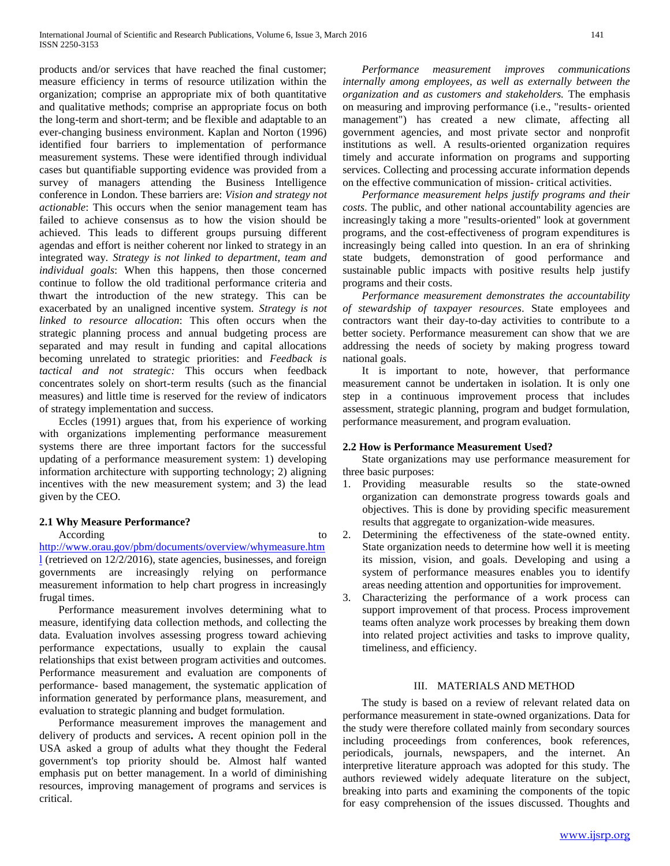products and/or services that have reached the final customer; measure efficiency in terms of resource utilization within the organization; comprise an appropriate mix of both quantitative and qualitative methods; comprise an appropriate focus on both the long-term and short-term; and be flexible and adaptable to an ever-changing business environment. Kaplan and Norton (1996) identified four barriers to implementation of performance measurement systems. These were identified through individual cases but quantifiable supporting evidence was provided from a survey of managers attending the Business Intelligence conference in London. These barriers are: *Vision and strategy not actionable*: This occurs when the senior management team has failed to achieve consensus as to how the vision should be achieved. This leads to different groups pursuing different agendas and effort is neither coherent nor linked to strategy in an integrated way. *Strategy is not linked to department, team and individual goals*: When this happens, then those concerned continue to follow the old traditional performance criteria and thwart the introduction of the new strategy. This can be exacerbated by an unaligned incentive system. *Strategy is not linked to resource allocation*: This often occurs when the strategic planning process and annual budgeting process are separated and may result in funding and capital allocations becoming unrelated to strategic priorities: and *Feedback is tactical and not strategic:* This occurs when feedback concentrates solely on short-term results (such as the financial measures) and little time is reserved for the review of indicators of strategy implementation and success.

 Eccles (1991) argues that, from his experience of working with organizations implementing performance measurement systems there are three important factors for the successful updating of a performance measurement system: 1) developing information architecture with supporting technology; 2) aligning incentives with the new measurement system; and 3) the lead given by the CEO.

## **2.1 Why Measure Performance?**

According to the set of the set of the set of the set of the set of the set of the set of the set of the set of the set of the set of the set of the set of the set of the set of the set of the set of the set of the set of

[http://www.orau.gov/pbm/documents/overview/whymeasure.htm](http://www.orau.gov/pbm/documents/overview/whymeasure.html) [l](http://www.orau.gov/pbm/documents/overview/whymeasure.html) (retrieved on 12/2/2016), state agencies, businesses, and foreign governments are increasingly relying on performance measurement information to help chart progress in increasingly frugal times.

 Performance measurement involves determining what to measure, identifying data collection methods, and collecting the data. Evaluation involves assessing progress toward achieving performance expectations, usually to explain the causal relationships that exist between program activities and outcomes. Performance measurement and evaluation are components of performance- based management, the systematic application of information generated by performance plans, measurement, and evaluation to strategic planning and budget formulation.

 Performance measurement improves the management and delivery of products and services**.** A recent opinion poll in the USA asked a group of adults what they thought the Federal government's top priority should be. Almost half wanted emphasis put on better management. In a world of diminishing resources, improving management of programs and services is critical.

 *Performance measurement improves communications internally among employees, as well as externally between the organization and as customers and stakeholders.* The emphasis on measuring and improving performance (i.e., "results- oriented management") has created a new climate, affecting all government agencies, and most private sector and nonprofit institutions as well. A results-oriented organization requires timely and accurate information on programs and supporting services. Collecting and processing accurate information depends on the effective communication of mission- critical activities.

 *Performance measurement helps justify programs and their costs*. The public, and other national accountability agencies are increasingly taking a more "results-oriented" look at government programs, and the cost-effectiveness of program expenditures is increasingly being called into question. In an era of shrinking state budgets, demonstration of good performance and sustainable public impacts with positive results help justify programs and their costs.

 *Performance measurement demonstrates the accountability of stewardship of taxpayer resources*. State employees and contractors want their day-to-day activities to contribute to a better society. Performance measurement can show that we are addressing the needs of society by making progress toward national goals.

 It is important to note, however, that performance measurement cannot be undertaken in isolation. It is only one step in a continuous improvement process that includes assessment, strategic planning, program and budget formulation, performance measurement, and program evaluation.

## **2.2 How is Performance Measurement Used?**

 State organizations may use performance measurement for three basic purposes:

- 1. Providing measurable results so the state-owned organization can demonstrate progress towards goals and objectives. This is done by providing specific measurement results that aggregate to organization-wide measures.
- 2. Determining the effectiveness of the state-owned entity. State organization needs to determine how well it is meeting its mission, vision, and goals. Developing and using a system of performance measures enables you to identify areas needing attention and opportunities for improvement.
- 3. Characterizing the performance of a work process can support improvement of that process. Process improvement teams often analyze work processes by breaking them down into related project activities and tasks to improve quality, timeliness, and efficiency.

## III. MATERIALS AND METHOD

 The study is based on a review of relevant related data on performance measurement in state-owned organizations. Data for the study were therefore collated mainly from secondary sources including proceedings from conferences, book references, periodicals, journals, newspapers, and the internet. An interpretive literature approach was adopted for this study. The authors reviewed widely adequate literature on the subject, breaking into parts and examining the components of the topic for easy comprehension of the issues discussed. Thoughts and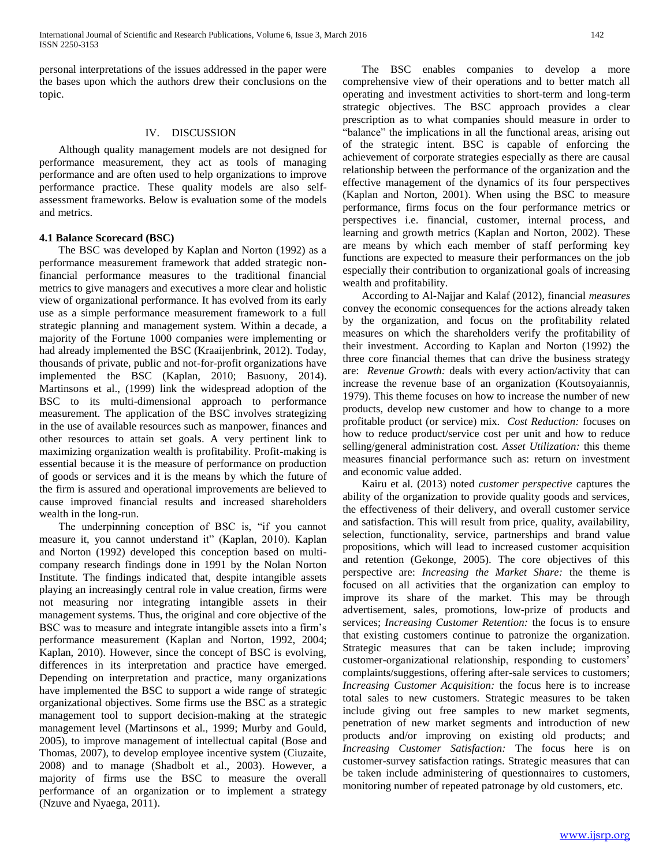personal interpretations of the issues addressed in the paper were the bases upon which the authors drew their conclusions on the topic.

#### IV. DISCUSSION

 Although quality management models are not designed for performance measurement, they act as tools of managing performance and are often used to help organizations to improve performance practice. These quality models are also selfassessment frameworks. Below is evaluation some of the models and metrics.

## **4.1 Balance Scorecard (BSC)**

 The BSC was developed by Kaplan and Norton (1992) as a performance measurement framework that added strategic nonfinancial performance measures to the traditional financial metrics to give managers and executives a more clear and holistic view of organizational performance. It has evolved from its early use as a simple performance measurement framework to a full strategic planning and management system. Within a decade, a majority of the Fortune 1000 companies were implementing or had already implemented the BSC (Kraaijenbrink, 2012). Today, thousands of private, public and not-for-profit organizations have implemented the BSC (Kaplan, 2010; Basuony, 2014). Martinsons et al., (1999) link the widespread adoption of the BSC to its multi-dimensional approach to performance measurement. The application of the BSC involves strategizing in the use of available resources such as manpower, finances and other resources to attain set goals. A very pertinent link to maximizing organization wealth is profitability. Profit-making is essential because it is the measure of performance on production of goods or services and it is the means by which the future of the firm is assured and operational improvements are believed to cause improved financial results and increased shareholders wealth in the long-run.

 The underpinning conception of BSC is, "if you cannot measure it, you cannot understand it" (Kaplan, 2010). Kaplan and Norton (1992) developed this conception based on multicompany research findings done in 1991 by the Nolan Norton Institute. The findings indicated that, despite intangible assets playing an increasingly central role in value creation, firms were not measuring nor integrating intangible assets in their management systems. Thus, the original and core objective of the BSC was to measure and integrate intangible assets into a firm's performance measurement (Kaplan and Norton, 1992, 2004; Kaplan, 2010). However, since the concept of BSC is evolving, differences in its interpretation and practice have emerged. Depending on interpretation and practice, many organizations have implemented the BSC to support a wide range of strategic organizational objectives. Some firms use the BSC as a strategic management tool to support decision-making at the strategic management level (Martinsons et al., 1999; Murby and Gould, 2005), to improve management of intellectual capital (Bose and Thomas, 2007), to develop employee incentive system (Ciuzaite, 2008) and to manage (Shadbolt et al., 2003). However, a majority of firms use the BSC to measure the overall performance of an organization or to implement a strategy (Nzuve and Nyaega, 2011).

 The BSC enables companies to develop a more comprehensive view of their operations and to better match all operating and investment activities to short-term and long-term strategic objectives. The BSC approach provides a clear prescription as to what companies should measure in order to "balance" the implications in all the functional areas, arising out of the strategic intent. BSC is capable of enforcing the achievement of corporate strategies especially as there are causal relationship between the performance of the organization and the effective management of the dynamics of its four perspectives (Kaplan and Norton, 2001). When using the BSC to measure performance, firms focus on the four performance metrics or perspectives i.e. financial, customer, internal process, and learning and growth metrics (Kaplan and Norton, 2002). These are means by which each member of staff performing key functions are expected to measure their performances on the job especially their contribution to organizational goals of increasing wealth and profitability.

 According to Al-Najjar and Kalaf (2012), financial *measures* convey the economic consequences for the actions already taken by the organization, and focus on the profitability related measures on which the shareholders verify the profitability of their investment. According to Kaplan and Norton (1992) the three core financial themes that can drive the business strategy are: *Revenue Growth:* deals with every action/activity that can increase the revenue base of an organization (Koutsoyaiannis, 1979). This theme focuses on how to increase the number of new products, develop new customer and how to change to a more profitable product (or service) mix. *Cost Reduction:* focuses on how to reduce product/service cost per unit and how to reduce selling/general administration cost. *Asset Utilization:* this theme measures financial performance such as: return on investment and economic value added.

 Kairu et al. (2013) noted *customer perspective* captures the ability of the organization to provide quality goods and services, the effectiveness of their delivery, and overall customer service and satisfaction. This will result from price, quality, availability, selection, functionality, service, partnerships and brand value propositions, which will lead to increased customer acquisition and retention (Gekonge, 2005). The core objectives of this perspective are: *Increasing the Market Share:* the theme is focused on all activities that the organization can employ to improve its share of the market. This may be through advertisement, sales, promotions, low-prize of products and services; *Increasing Customer Retention:* the focus is to ensure that existing customers continue to patronize the organization. Strategic measures that can be taken include; improving customer-organizational relationship, responding to customers' complaints/suggestions, offering after-sale services to customers; *Increasing Customer Acquisition:* the focus here is to increase total sales to new customers. Strategic measures to be taken include giving out free samples to new market segments, penetration of new market segments and introduction of new products and/or improving on existing old products; and *Increasing Customer Satisfaction:* The focus here is on customer-survey satisfaction ratings. Strategic measures that can be taken include administering of questionnaires to customers, monitoring number of repeated patronage by old customers, etc.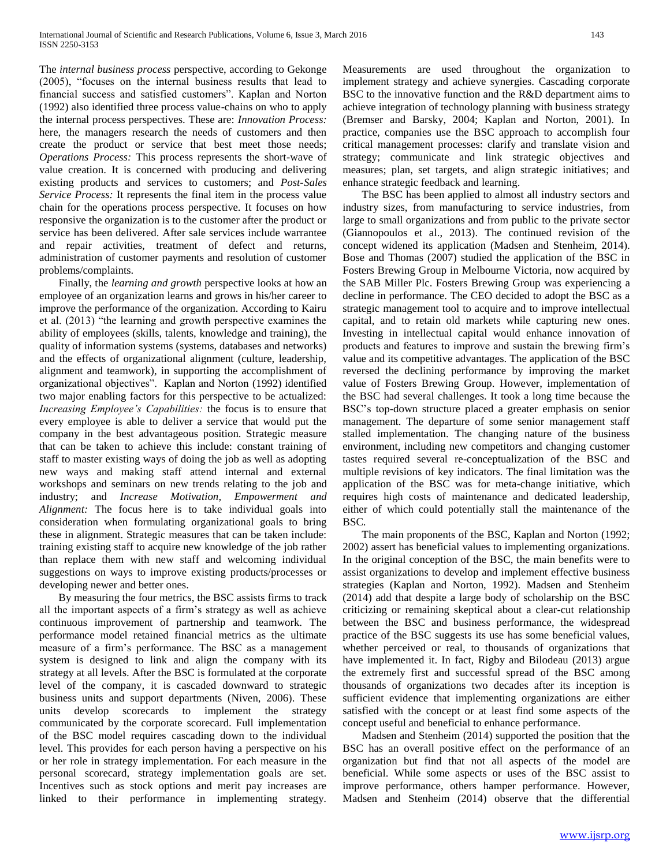The *internal business process* perspective, according to Gekonge (2005), "focuses on the internal business results that lead to financial success and satisfied customers". Kaplan and Norton (1992) also identified three process value-chains on who to apply the internal process perspectives. These are: *Innovation Process:*  here, the managers research the needs of customers and then create the product or service that best meet those needs; *Operations Process:* This process represents the short-wave of value creation. It is concerned with producing and delivering existing products and services to customers; and *Post-Sales Service Process:* It represents the final item in the process value chain for the operations process perspective. It focuses on how responsive the organization is to the customer after the product or service has been delivered. After sale services include warrantee and repair activities, treatment of defect and returns, administration of customer payments and resolution of customer problems/complaints.

 Finally, the *learning and growth* perspective looks at how an employee of an organization learns and grows in his/her career to improve the performance of the organization. According to Kairu et al. (2013) "the learning and growth perspective examines the ability of employees (skills, talents, knowledge and training), the quality of information systems (systems, databases and networks) and the effects of organizational alignment (culture, leadership, alignment and teamwork), in supporting the accomplishment of organizational objectives". Kaplan and Norton (1992) identified two major enabling factors for this perspective to be actualized: *Increasing Employee's Capabilities:* the focus is to ensure that every employee is able to deliver a service that would put the company in the best advantageous position. Strategic measure that can be taken to achieve this include: constant training of staff to master existing ways of doing the job as well as adopting new ways and making staff attend internal and external workshops and seminars on new trends relating to the job and industry; and *Increase Motivation, Empowerment and Alignment:* The focus here is to take individual goals into consideration when formulating organizational goals to bring these in alignment. Strategic measures that can be taken include: training existing staff to acquire new knowledge of the job rather than replace them with new staff and welcoming individual suggestions on ways to improve existing products/processes or developing newer and better ones.

 By measuring the four metrics, the BSC assists firms to track all the important aspects of a firm's strategy as well as achieve continuous improvement of partnership and teamwork. The performance model retained financial metrics as the ultimate measure of a firm's performance. The BSC as a management system is designed to link and align the company with its strategy at all levels. After the BSC is formulated at the corporate level of the company, it is cascaded downward to strategic business units and support departments (Niven, 2006). These units develop scorecards to implement the strategy communicated by the corporate scorecard. Full implementation of the BSC model requires cascading down to the individual level. This provides for each person having a perspective on his or her role in strategy implementation. For each measure in the personal scorecard, strategy implementation goals are set. Incentives such as stock options and merit pay increases are linked to their performance in implementing strategy.

Measurements are used throughout the organization to implement strategy and achieve synergies. Cascading corporate BSC to the innovative function and the R&D department aims to achieve integration of technology planning with business strategy (Bremser and Barsky, 2004; Kaplan and Norton, 2001). In practice, companies use the BSC approach to accomplish four critical management processes: clarify and translate vision and strategy; communicate and link strategic objectives and measures; plan, set targets, and align strategic initiatives; and enhance strategic feedback and learning.

 The BSC has been applied to almost all industry sectors and industry sizes, from manufacturing to service industries, from large to small organizations and from public to the private sector (Giannopoulos et al., 2013). The continued revision of the concept widened its application (Madsen and Stenheim, 2014). Bose and Thomas (2007) studied the application of the BSC in Fosters Brewing Group in Melbourne Victoria, now acquired by the SAB Miller Plc. Fosters Brewing Group was experiencing a decline in performance. The CEO decided to adopt the BSC as a strategic management tool to acquire and to improve intellectual capital, and to retain old markets while capturing new ones. Investing in intellectual capital would enhance innovation of products and features to improve and sustain the brewing firm's value and its competitive advantages. The application of the BSC reversed the declining performance by improving the market value of Fosters Brewing Group. However, implementation of the BSC had several challenges. It took a long time because the BSC's top-down structure placed a greater emphasis on senior management. The departure of some senior management staff stalled implementation. The changing nature of the business environment, including new competitors and changing customer tastes required several re-conceptualization of the BSC and multiple revisions of key indicators. The final limitation was the application of the BSC was for meta-change initiative, which requires high costs of maintenance and dedicated leadership, either of which could potentially stall the maintenance of the BSC.

 The main proponents of the BSC, Kaplan and Norton (1992; 2002) assert has beneficial values to implementing organizations. In the original conception of the BSC, the main benefits were to assist organizations to develop and implement effective business strategies (Kaplan and Norton, 1992). Madsen and Stenheim (2014) add that despite a large body of scholarship on the BSC criticizing or remaining skeptical about a clear-cut relationship between the BSC and business performance, the widespread practice of the BSC suggests its use has some beneficial values, whether perceived or real, to thousands of organizations that have implemented it. In fact, Rigby and Bilodeau (2013) argue the extremely first and successful spread of the BSC among thousands of organizations two decades after its inception is sufficient evidence that implementing organizations are either satisfied with the concept or at least find some aspects of the concept useful and beneficial to enhance performance.

 Madsen and Stenheim (2014) supported the position that the BSC has an overall positive effect on the performance of an organization but find that not all aspects of the model are beneficial. While some aspects or uses of the BSC assist to improve performance, others hamper performance. However, Madsen and Stenheim (2014) observe that the differential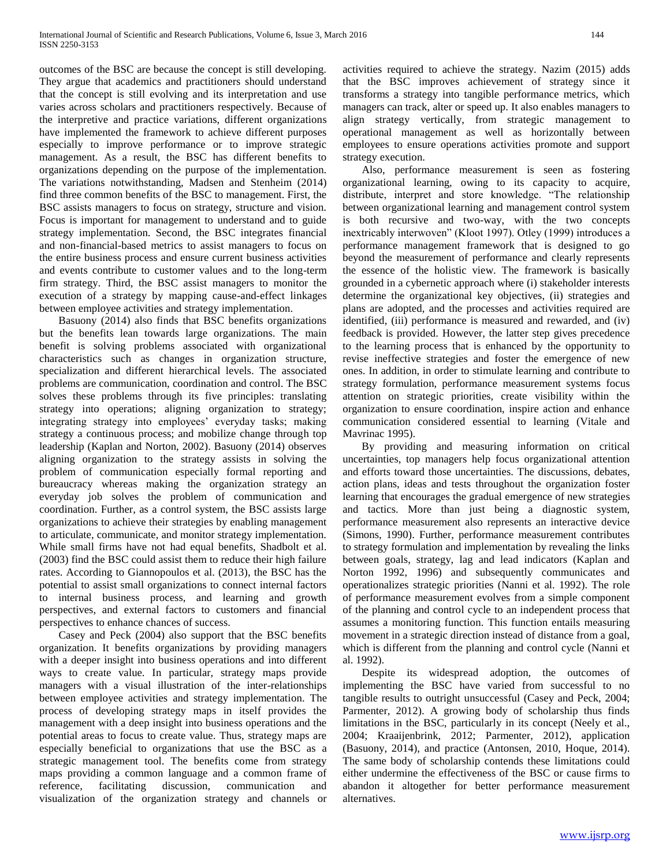outcomes of the BSC are because the concept is still developing. They argue that academics and practitioners should understand that the concept is still evolving and its interpretation and use varies across scholars and practitioners respectively. Because of the interpretive and practice variations, different organizations have implemented the framework to achieve different purposes especially to improve performance or to improve strategic management. As a result, the BSC has different benefits to organizations depending on the purpose of the implementation. The variations notwithstanding, Madsen and Stenheim (2014) find three common benefits of the BSC to management. First, the BSC assists managers to focus on strategy, structure and vision. Focus is important for management to understand and to guide strategy implementation. Second, the BSC integrates financial and non-financial-based metrics to assist managers to focus on the entire business process and ensure current business activities and events contribute to customer values and to the long-term firm strategy. Third, the BSC assist managers to monitor the execution of a strategy by mapping cause-and-effect linkages between employee activities and strategy implementation.

 Basuony (2014) also finds that BSC benefits organizations but the benefits lean towards large organizations. The main benefit is solving problems associated with organizational characteristics such as changes in organization structure, specialization and different hierarchical levels. The associated problems are communication, coordination and control. The BSC solves these problems through its five principles: translating strategy into operations; aligning organization to strategy; integrating strategy into employees' everyday tasks; making strategy a continuous process; and mobilize change through top leadership (Kaplan and Norton, 2002). Basuony (2014) observes aligning organization to the strategy assists in solving the problem of communication especially formal reporting and bureaucracy whereas making the organization strategy an everyday job solves the problem of communication and coordination. Further, as a control system, the BSC assists large organizations to achieve their strategies by enabling management to articulate, communicate, and monitor strategy implementation. While small firms have not had equal benefits, Shadbolt et al. (2003) find the BSC could assist them to reduce their high failure rates. According to Giannopoulos et al. (2013), the BSC has the potential to assist small organizations to connect internal factors to internal business process, and learning and growth perspectives, and external factors to customers and financial perspectives to enhance chances of success.

 Casey and Peck (2004) also support that the BSC benefits organization. It benefits organizations by providing managers with a deeper insight into business operations and into different ways to create value. In particular, strategy maps provide managers with a visual illustration of the inter-relationships between employee activities and strategy implementation. The process of developing strategy maps in itself provides the management with a deep insight into business operations and the potential areas to focus to create value. Thus, strategy maps are especially beneficial to organizations that use the BSC as a strategic management tool. The benefits come from strategy maps providing a common language and a common frame of reference, facilitating discussion, communication and visualization of the organization strategy and channels or activities required to achieve the strategy. Nazim (2015) adds that the BSC improves achievement of strategy since it transforms a strategy into tangible performance metrics, which managers can track, alter or speed up. It also enables managers to align strategy vertically, from strategic management to operational management as well as horizontally between employees to ensure operations activities promote and support strategy execution.

 Also, performance measurement is seen as fostering organizational learning, owing to its capacity to acquire, distribute, interpret and store knowledge. "The relationship between organizational learning and management control system is both recursive and two-way, with the two concepts inextricably interwoven" (Kloot 1997). Otley (1999) introduces a performance management framework that is designed to go beyond the measurement of performance and clearly represents the essence of the holistic view. The framework is basically grounded in a cybernetic approach where (i) stakeholder interests determine the organizational key objectives, (ii) strategies and plans are adopted, and the processes and activities required are identified, (iii) performance is measured and rewarded, and (iv) feedback is provided. However, the latter step gives precedence to the learning process that is enhanced by the opportunity to revise ineffective strategies and foster the emergence of new ones. In addition, in order to stimulate learning and contribute to strategy formulation, performance measurement systems focus attention on strategic priorities, create visibility within the organization to ensure coordination, inspire action and enhance communication considered essential to learning (Vitale and Mavrinac 1995).

 By providing and measuring information on critical uncertainties, top managers help focus organizational attention and efforts toward those uncertainties. The discussions, debates, action plans, ideas and tests throughout the organization foster learning that encourages the gradual emergence of new strategies and tactics. More than just being a diagnostic system, performance measurement also represents an interactive device (Simons, 1990). Further, performance measurement contributes to strategy formulation and implementation by revealing the links between goals, strategy, lag and lead indicators (Kaplan and Norton 1992, 1996) and subsequently communicates and operationalizes strategic priorities (Nanni et al. 1992). The role of performance measurement evolves from a simple component of the planning and control cycle to an independent process that assumes a monitoring function. This function entails measuring movement in a strategic direction instead of distance from a goal, which is different from the planning and control cycle (Nanni et al. 1992).

 Despite its widespread adoption, the outcomes of implementing the BSC have varied from successful to no tangible results to outright unsuccessful (Casey and Peck, 2004; Parmenter, 2012). A growing body of scholarship thus finds limitations in the BSC, particularly in its concept (Neely et al., 2004; Kraaijenbrink, 2012; Parmenter, 2012), application (Basuony, 2014), and practice (Antonsen, 2010, Hoque, 2014). The same body of scholarship contends these limitations could either undermine the effectiveness of the BSC or cause firms to abandon it altogether for better performance measurement alternatives.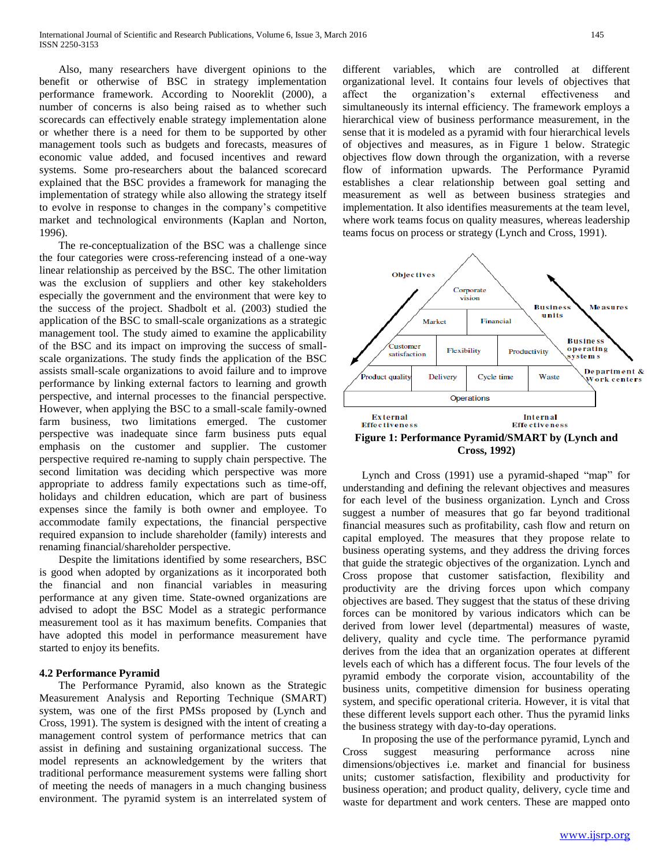Also, many researchers have divergent opinions to the benefit or otherwise of BSC in strategy implementation performance framework. According to Nooreklit (2000), a number of concerns is also being raised as to whether such scorecards can effectively enable strategy implementation alone or whether there is a need for them to be supported by other management tools such as budgets and forecasts, measures of economic value added, and focused incentives and reward systems. Some pro-researchers about the balanced scorecard explained that the BSC provides a framework for managing the implementation of strategy while also allowing the strategy itself to evolve in response to changes in the company's competitive market and technological environments (Kaplan and Norton, 1996).

 The re-conceptualization of the BSC was a challenge since the four categories were cross-referencing instead of a one-way linear relationship as perceived by the BSC. The other limitation was the exclusion of suppliers and other key stakeholders especially the government and the environment that were key to the success of the project. Shadbolt et al. (2003) studied the application of the BSC to small-scale organizations as a strategic management tool. The study aimed to examine the applicability of the BSC and its impact on improving the success of smallscale organizations. The study finds the application of the BSC assists small-scale organizations to avoid failure and to improve performance by linking external factors to learning and growth perspective, and internal processes to the financial perspective. However, when applying the BSC to a small-scale family-owned farm business, two limitations emerged. The customer perspective was inadequate since farm business puts equal emphasis on the customer and supplier. The customer perspective required re-naming to supply chain perspective. The second limitation was deciding which perspective was more appropriate to address family expectations such as time-off, holidays and children education, which are part of business expenses since the family is both owner and employee. To accommodate family expectations, the financial perspective required expansion to include shareholder (family) interests and renaming financial/shareholder perspective.

 Despite the limitations identified by some researchers, BSC is good when adopted by organizations as it incorporated both the financial and non financial variables in measuring performance at any given time. State-owned organizations are advised to adopt the BSC Model as a strategic performance measurement tool as it has maximum benefits. Companies that have adopted this model in performance measurement have started to enjoy its benefits.

## **4.2 Performance Pyramid**

 The Performance Pyramid, also known as the Strategic Measurement Analysis and Reporting Technique (SMART) system, was one of the first PMSs proposed by (Lynch and Cross, 1991). The system is designed with the intent of creating a management control system of performance metrics that can assist in defining and sustaining organizational success. The model represents an acknowledgement by the writers that traditional performance measurement systems were falling short of meeting the needs of managers in a much changing business environment. The pyramid system is an interrelated system of different variables, which are controlled at different organizational level. It contains four levels of objectives that affect the organization's external effectiveness and simultaneously its internal efficiency. The framework employs a hierarchical view of business performance measurement, in the sense that it is modeled as a pyramid with four hierarchical levels of objectives and measures, as in Figure 1 below. Strategic objectives flow down through the organization, with a reverse flow of information upwards. The Performance Pyramid establishes a clear relationship between goal setting and measurement as well as between business strategies and implementation. It also identifies measurements at the team level, where work teams focus on quality measures, whereas leadership teams focus on process or strategy (Lynch and Cross, 1991).



 Lynch and Cross (1991) use a pyramid-shaped "map" for understanding and defining the relevant objectives and measures for each level of the business organization. Lynch and Cross suggest a number of measures that go far beyond traditional financial measures such as profitability, cash flow and return on capital employed. The measures that they propose relate to business operating systems, and they address the driving forces that guide the strategic objectives of the organization. Lynch and Cross propose that customer satisfaction, flexibility and productivity are the driving forces upon which company objectives are based. They suggest that the status of these driving forces can be monitored by various indicators which can be derived from lower level (departmental) measures of waste, delivery, quality and cycle time. The performance pyramid derives from the idea that an organization operates at different levels each of which has a different focus. The four levels of the pyramid embody the corporate vision, accountability of the business units, competitive dimension for business operating system, and specific operational criteria. However, it is vital that these different levels support each other. Thus the pyramid links the business strategy with day-to-day operations.

 In proposing the use of the performance pyramid, Lynch and Cross suggest measuring performance across nine dimensions/objectives i.e. market and financial for business units; customer satisfaction, flexibility and productivity for business operation; and product quality, delivery, cycle time and waste for department and work centers. These are mapped onto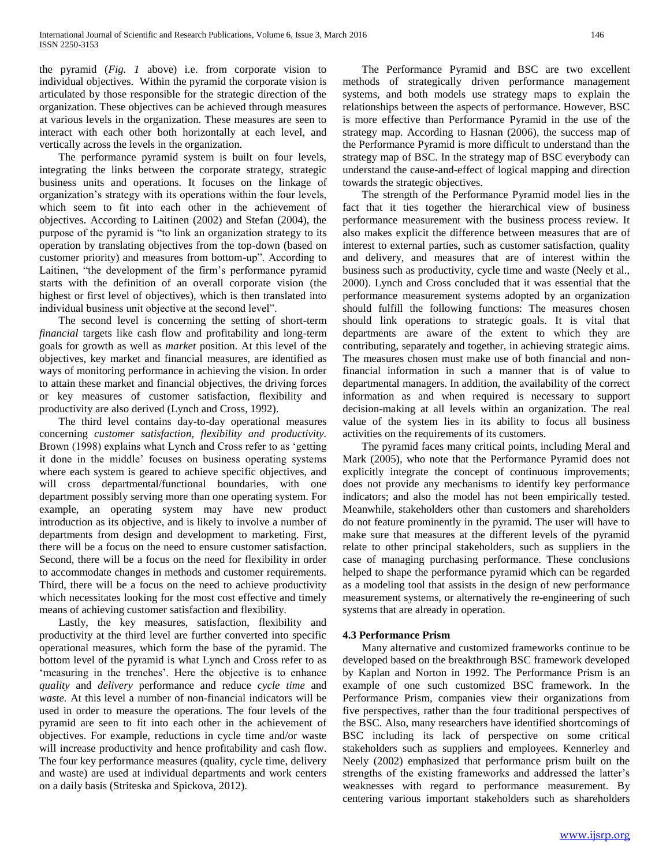the pyramid (*Fig. 1* above) i.e. from corporate vision to individual objectives. Within the pyramid the corporate vision is articulated by those responsible for the strategic direction of the organization. These objectives can be achieved through measures at various levels in the organization. These measures are seen to interact with each other both horizontally at each level, and vertically across the levels in the organization.

 The performance pyramid system is built on four levels, integrating the links between the corporate strategy, strategic business units and operations. It focuses on the linkage of organization's strategy with its operations within the four levels, which seem to fit into each other in the achievement of objectives. According to Laitinen (2002) and Stefan (2004), the purpose of the pyramid is "to link an organization strategy to its operation by translating objectives from the top-down (based on customer priority) and measures from bottom-up". According to Laitinen, "the development of the firm's performance pyramid starts with the definition of an overall corporate vision (the highest or first level of objectives), which is then translated into individual business unit objective at the second level".

 The second level is concerning the setting of short-term *financial* targets like cash flow and profitability and long-term goals for growth as well as *market* position. At this level of the objectives, key market and financial measures, are identified as ways of monitoring performance in achieving the vision. In order to attain these market and financial objectives, the driving forces or key measures of customer satisfaction, flexibility and productivity are also derived (Lynch and Cross, 1992).

 The third level contains day-to-day operational measures concerning *customer satisfaction, flexibility and productivity.* Brown (1998) explains what Lynch and Cross refer to as 'getting it done in the middle' focuses on business operating systems where each system is geared to achieve specific objectives, and will cross departmental/functional boundaries, with one department possibly serving more than one operating system. For example, an operating system may have new product introduction as its objective, and is likely to involve a number of departments from design and development to marketing. First, there will be a focus on the need to ensure customer satisfaction. Second, there will be a focus on the need for flexibility in order to accommodate changes in methods and customer requirements. Third, there will be a focus on the need to achieve productivity which necessitates looking for the most cost effective and timely means of achieving customer satisfaction and flexibility.

 Lastly, the key measures, satisfaction, flexibility and productivity at the third level are further converted into specific operational measures, which form the base of the pyramid. The bottom level of the pyramid is what Lynch and Cross refer to as 'measuring in the trenches'. Here the objective is to enhance *quality* and *delivery* performance and reduce *cycle time* and *waste.* At this level a number of non-financial indicators will be used in order to measure the operations. The four levels of the pyramid are seen to fit into each other in the achievement of objectives. For example, reductions in cycle time and/or waste will increase productivity and hence profitability and cash flow. The four key performance measures (quality, cycle time, delivery and waste) are used at individual departments and work centers on a daily basis (Striteska and Spickova, 2012).

 The Performance Pyramid and BSC are two excellent methods of strategically driven performance management systems, and both models use strategy maps to explain the relationships between the aspects of performance. However, BSC is more effective than Performance Pyramid in the use of the strategy map. According to Hasnan (2006), the success map of the Performance Pyramid is more difficult to understand than the strategy map of BSC. In the strategy map of BSC everybody can understand the cause-and-effect of logical mapping and direction towards the strategic objectives.

 The strength of the Performance Pyramid model lies in the fact that it ties together the hierarchical view of business performance measurement with the business process review. It also makes explicit the difference between measures that are of interest to external parties, such as customer satisfaction, quality and delivery, and measures that are of interest within the business such as productivity, cycle time and waste (Neely et al., 2000). Lynch and Cross concluded that it was essential that the performance measurement systems adopted by an organization should fulfill the following functions: The measures chosen should link operations to strategic goals. It is vital that departments are aware of the extent to which they are contributing, separately and together, in achieving strategic aims. The measures chosen must make use of both financial and nonfinancial information in such a manner that is of value to departmental managers. In addition, the availability of the correct information as and when required is necessary to support decision-making at all levels within an organization. The real value of the system lies in its ability to focus all business activities on the requirements of its customers.

 The pyramid faces many critical points, including Meral and Mark (2005), who note that the Performance Pyramid does not explicitly integrate the concept of continuous improvements; does not provide any mechanisms to identify key performance indicators; and also the model has not been empirically tested. Meanwhile, stakeholders other than customers and shareholders do not feature prominently in the pyramid. The user will have to make sure that measures at the different levels of the pyramid relate to other principal stakeholders, such as suppliers in the case of managing purchasing performance. These conclusions helped to shape the performance pyramid which can be regarded as a modeling tool that assists in the design of new performance measurement systems, or alternatively the re-engineering of such systems that are already in operation.

## **4.3 Performance Prism**

 Many alternative and customized frameworks continue to be developed based on the breakthrough BSC framework developed by Kaplan and Norton in 1992. The Performance Prism is an example of one such customized BSC framework. In the Performance Prism, companies view their organizations from five perspectives, rather than the four traditional perspectives of the BSC. Also, many researchers have identified shortcomings of BSC including its lack of perspective on some critical stakeholders such as suppliers and employees. Kennerley and Neely (2002) emphasized that performance prism built on the strengths of the existing frameworks and addressed the latter's weaknesses with regard to performance measurement. By centering various important stakeholders such as shareholders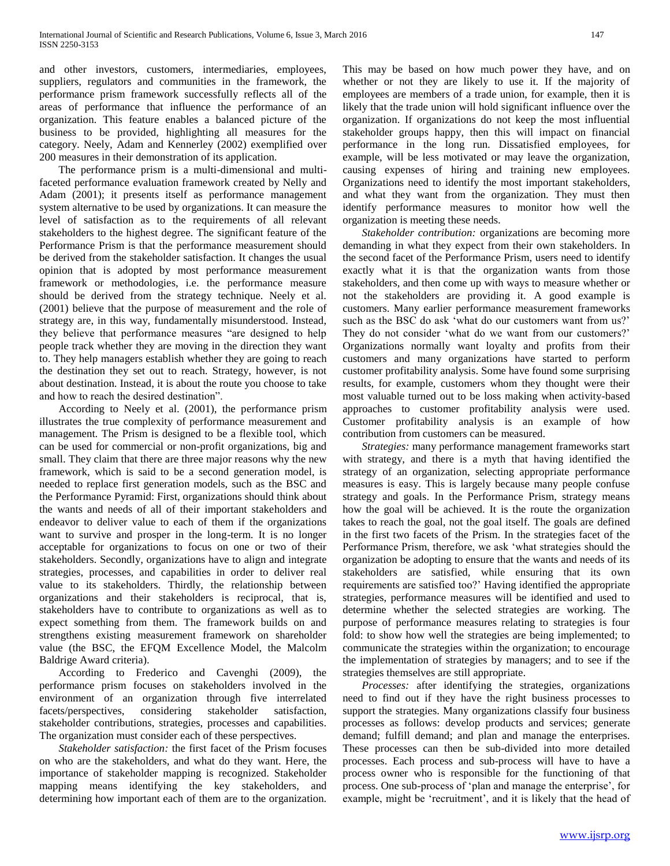and other investors, customers, intermediaries, employees, suppliers, regulators and communities in the framework, the performance prism framework successfully reflects all of the areas of performance that influence the performance of an organization. This feature enables a balanced picture of the business to be provided, highlighting all measures for the category. Neely, Adam and Kennerley (2002) exemplified over 200 measures in their demonstration of its application.

 The performance prism is a multi-dimensional and multifaceted performance evaluation framework created by Nelly and Adam (2001); it presents itself as performance management system alternative to be used by organizations. It can measure the level of satisfaction as to the requirements of all relevant stakeholders to the highest degree. The significant feature of the Performance Prism is that the performance measurement should be derived from the stakeholder satisfaction. It changes the usual opinion that is adopted by most performance measurement framework or methodologies, i.e. the performance measure should be derived from the strategy technique. Neely et al. (2001) believe that the purpose of measurement and the role of strategy are, in this way, fundamentally misunderstood. Instead, they believe that performance measures "are designed to help people track whether they are moving in the direction they want to. They help managers establish whether they are going to reach the destination they set out to reach. Strategy, however, is not about destination. Instead, it is about the route you choose to take and how to reach the desired destination".

 According to Neely et al. (2001), the performance prism illustrates the true complexity of performance measurement and management. The Prism is designed to be a flexible tool, which can be used for commercial or non-profit organizations, big and small. They claim that there are three major reasons why the new framework, which is said to be a second generation model, is needed to replace first generation models, such as the BSC and the Performance Pyramid: First, organizations should think about the wants and needs of all of their important stakeholders and endeavor to deliver value to each of them if the organizations want to survive and prosper in the long-term. It is no longer acceptable for organizations to focus on one or two of their stakeholders. Secondly, organizations have to align and integrate strategies, processes, and capabilities in order to deliver real value to its stakeholders. Thirdly, the relationship between organizations and their stakeholders is reciprocal, that is, stakeholders have to contribute to organizations as well as to expect something from them. The framework builds on and strengthens existing measurement framework on shareholder value (the BSC, the EFQM Excellence Model, the Malcolm Baldrige Award criteria).

 According to Frederico and Cavenghi (2009), the performance prism focuses on stakeholders involved in the environment of an organization through five interrelated facets/perspectives, considering stakeholder satisfaction, stakeholder contributions, strategies, processes and capabilities. The organization must consider each of these perspectives.

 *Stakeholder satisfaction:* the first facet of the Prism focuses on who are the stakeholders, and what do they want. Here, the importance of stakeholder mapping is recognized. Stakeholder mapping means identifying the key stakeholders, and determining how important each of them are to the organization.

This may be based on how much power they have, and on whether or not they are likely to use it. If the majority of employees are members of a trade union, for example, then it is likely that the trade union will hold significant influence over the organization. If organizations do not keep the most influential stakeholder groups happy, then this will impact on financial performance in the long run. Dissatisfied employees, for example, will be less motivated or may leave the organization, causing expenses of hiring and training new employees. Organizations need to identify the most important stakeholders, and what they want from the organization. They must then identify performance measures to monitor how well the organization is meeting these needs.

 *Stakeholder contribution:* organizations are becoming more demanding in what they expect from their own stakeholders. In the second facet of the Performance Prism, users need to identify exactly what it is that the organization wants from those stakeholders, and then come up with ways to measure whether or not the stakeholders are providing it. A good example is customers. Many earlier performance measurement frameworks such as the BSC do ask 'what do our customers want from us?' They do not consider 'what do we want from our customers?' Organizations normally want loyalty and profits from their customers and many organizations have started to perform customer profitability analysis. Some have found some surprising results, for example, customers whom they thought were their most valuable turned out to be loss making when activity-based approaches to customer profitability analysis were used. Customer profitability analysis is an example of how contribution from customers can be measured.

 *Strategies:* many performance management frameworks start with strategy, and there is a myth that having identified the strategy of an organization, selecting appropriate performance measures is easy. This is largely because many people confuse strategy and goals. In the Performance Prism, strategy means how the goal will be achieved. It is the route the organization takes to reach the goal, not the goal itself. The goals are defined in the first two facets of the Prism. In the strategies facet of the Performance Prism, therefore, we ask 'what strategies should the organization be adopting to ensure that the wants and needs of its stakeholders are satisfied, while ensuring that its own requirements are satisfied too?' Having identified the appropriate strategies, performance measures will be identified and used to determine whether the selected strategies are working. The purpose of performance measures relating to strategies is four fold: to show how well the strategies are being implemented; to communicate the strategies within the organization; to encourage the implementation of strategies by managers; and to see if the strategies themselves are still appropriate.

 *Processes:* after identifying the strategies, organizations need to find out if they have the right business processes to support the strategies. Many organizations classify four business processes as follows: develop products and services; generate demand; fulfill demand; and plan and manage the enterprises. These processes can then be sub-divided into more detailed processes. Each process and sub-process will have to have a process owner who is responsible for the functioning of that process. One sub-process of 'plan and manage the enterprise', for example, might be 'recruitment', and it is likely that the head of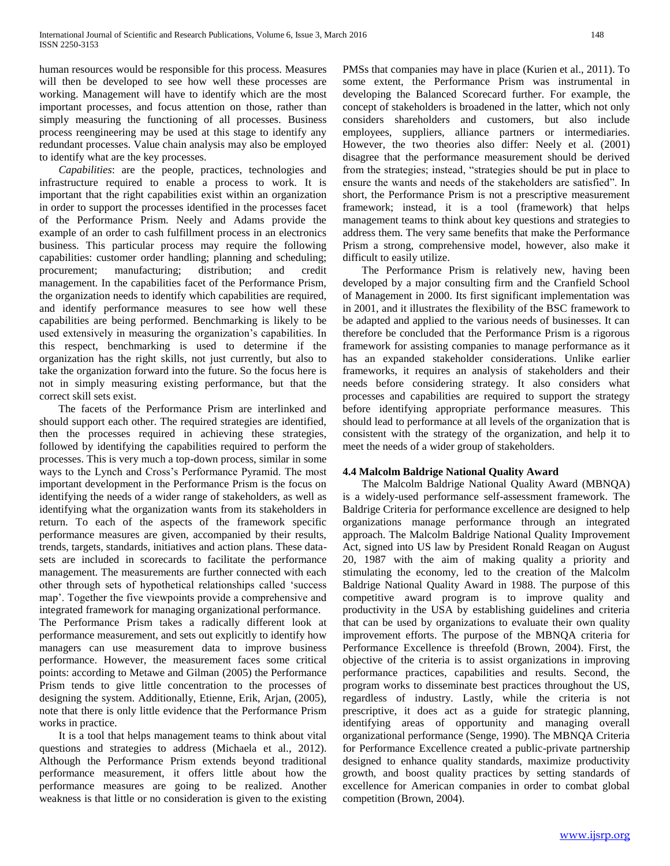human resources would be responsible for this process. Measures will then be developed to see how well these processes are working. Management will have to identify which are the most important processes, and focus attention on those, rather than simply measuring the functioning of all processes. Business process reengineering may be used at this stage to identify any redundant processes. Value chain analysis may also be employed to identify what are the key processes.

 *Capabilities*: are the people, practices, technologies and infrastructure required to enable a process to work. It is important that the right capabilities exist within an organization in order to support the processes identified in the processes facet of the Performance Prism. Neely and Adams provide the example of an order to cash fulfillment process in an electronics business. This particular process may require the following capabilities: customer order handling; planning and scheduling; procurement; manufacturing; distribution; and credit management. In the capabilities facet of the Performance Prism, the organization needs to identify which capabilities are required, and identify performance measures to see how well these capabilities are being performed. Benchmarking is likely to be used extensively in measuring the organization's capabilities. In this respect, benchmarking is used to determine if the organization has the right skills, not just currently, but also to take the organization forward into the future. So the focus here is not in simply measuring existing performance, but that the correct skill sets exist.

 The facets of the Performance Prism are interlinked and should support each other. The required strategies are identified, then the processes required in achieving these strategies, followed by identifying the capabilities required to perform the processes. This is very much a top-down process, similar in some ways to the Lynch and Cross's Performance Pyramid. The most important development in the Performance Prism is the focus on identifying the needs of a wider range of stakeholders, as well as identifying what the organization wants from its stakeholders in return. To each of the aspects of the framework specific performance measures are given, accompanied by their results, trends, targets, standards, initiatives and action plans. These datasets are included in scorecards to facilitate the performance management. The measurements are further connected with each other through sets of hypothetical relationships called 'success map'. Together the five viewpoints provide a comprehensive and integrated framework for managing organizational performance.

The Performance Prism takes a radically different look at performance measurement, and sets out explicitly to identify how managers can use measurement data to improve business performance. However, the measurement faces some critical points: according to Metawe and Gilman (2005) the Performance Prism tends to give little concentration to the processes of designing the system. Additionally, Etienne, Erik, Arjan, (2005), note that there is only little evidence that the Performance Prism works in practice.

 It is a tool that helps management teams to think about vital questions and strategies to address (Michaela et al., 2012). Although the Performance Prism extends beyond traditional performance measurement, it offers little about how the performance measures are going to be realized. Another weakness is that little or no consideration is given to the existing

PMSs that companies may have in place (Kurien et al., 2011). To some extent, the Performance Prism was instrumental in developing the Balanced Scorecard further. For example, the concept of stakeholders is broadened in the latter, which not only considers shareholders and customers, but also include employees, suppliers, alliance partners or intermediaries. However, the two theories also differ: Neely et al. (2001) disagree that the performance measurement should be derived from the strategies; instead, "strategies should be put in place to ensure the wants and needs of the stakeholders are satisfied". In short, the Performance Prism is not a prescriptive measurement framework; instead, it is a tool (framework) that helps management teams to think about key questions and strategies to address them. The very same benefits that make the Performance Prism a strong, comprehensive model, however, also make it difficult to easily utilize.

 The Performance Prism is relatively new, having been developed by a major consulting firm and the Cranfield School of Management in 2000. Its first significant implementation was in 2001, and it illustrates the flexibility of the BSC framework to be adapted and applied to the various needs of businesses. It can therefore be concluded that the Performance Prism is a rigorous framework for assisting companies to manage performance as it has an expanded stakeholder considerations. Unlike earlier frameworks, it requires an analysis of stakeholders and their needs before considering strategy. It also considers what processes and capabilities are required to support the strategy before identifying appropriate performance measures. This should lead to performance at all levels of the organization that is consistent with the strategy of the organization, and help it to meet the needs of a wider group of stakeholders.

## **4.4 Malcolm Baldrige National Quality Award**

 The Malcolm Baldrige National Quality Award (MBNQA) is a widely-used performance self-assessment framework. The Baldrige Criteria for performance excellence are designed to help organizations manage performance through an integrated approach. The Malcolm Baldrige National Quality Improvement Act, signed into US law by President Ronald Reagan on August 20, 1987 with the aim of making quality a priority and stimulating the economy, led to the creation of the Malcolm Baldrige National Quality Award in 1988. The purpose of this competitive award program is to improve quality and productivity in the USA by establishing guidelines and criteria that can be used by organizations to evaluate their own quality improvement efforts. The purpose of the MBNQA criteria for Performance Excellence is threefold (Brown, 2004). First, the objective of the criteria is to assist organizations in improving performance practices, capabilities and results. Second, the program works to disseminate best practices throughout the US, regardless of industry. Lastly, while the criteria is not prescriptive, it does act as a guide for strategic planning, identifying areas of opportunity and managing overall organizational performance (Senge, 1990). The MBNQA Criteria for Performance Excellence created a public-private partnership designed to enhance quality standards, maximize productivity growth, and boost quality practices by setting standards of excellence for American companies in order to combat global competition (Brown, 2004).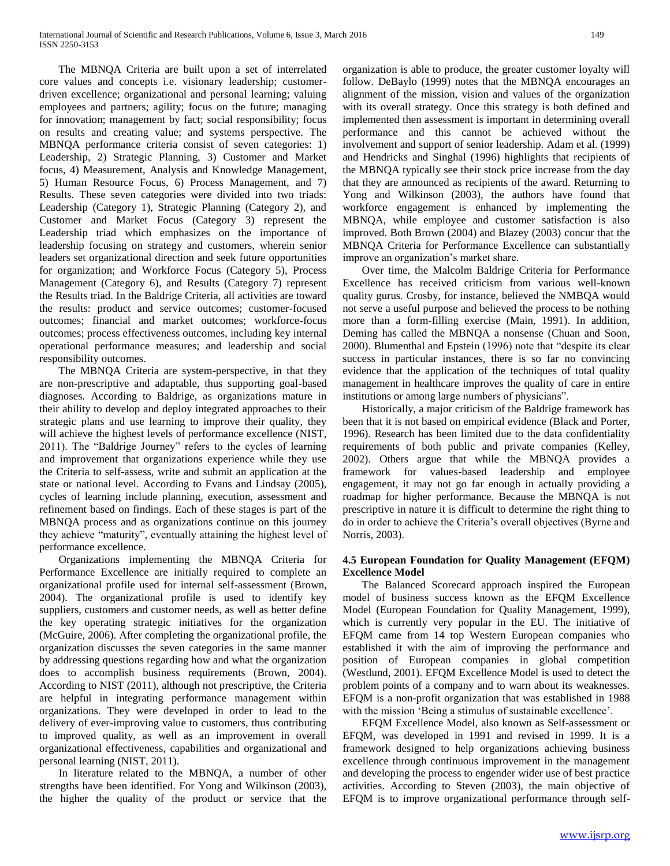The MBNQA Criteria are built upon a set of interrelated core values and concepts i.e. visionary leadership; customerdriven excellence; organizational and personal learning; valuing employees and partners; agility; focus on the future; managing for innovation; management by fact; social responsibility; focus on results and creating value; and systems perspective. The MBNQA performance criteria consist of seven categories: 1) Leadership, 2) Strategic Planning, 3) Customer and Market focus, 4) Measurement, Analysis and Knowledge Management, 5) Human Resource Focus, 6) Process Management, and 7) Results. These seven categories were divided into two triads: Leadership (Category 1), Strategic Planning (Category 2), and Customer and Market Focus (Category 3) represent the Leadership triad which emphasizes on the importance of leadership focusing on strategy and customers, wherein senior leaders set organizational direction and seek future opportunities for organization; and Workforce Focus (Category 5), Process Management (Category 6), and Results (Category 7) represent the Results triad. In the Baldrige Criteria, all activities are toward the results: product and service outcomes; customer-focused outcomes; financial and market outcomes; workforce-focus outcomes; process effectiveness outcomes, including key internal operational performance measures; and leadership and social responsibility outcomes.

 The MBNQA Criteria are system-perspective, in that they are non-prescriptive and adaptable, thus supporting goal-based diagnoses. According to Baldrige, as organizations mature in their ability to develop and deploy integrated approaches to their strategic plans and use learning to improve their quality, they will achieve the highest levels of performance excellence (NIST, 2011). The "Baldrige Journey" refers to the cycles of learning and improvement that organizations experience while they use the Criteria to self-assess, write and submit an application at the state or national level. According to Evans and Lindsay (2005), cycles of learning include planning, execution, assessment and refinement based on findings. Each of these stages is part of the MBNQA process and as organizations continue on this journey they achieve "maturity", eventually attaining the highest level of performance excellence.

 Organizations implementing the MBNQA Criteria for Performance Excellence are initially required to complete an organizational profile used for internal self-assessment (Brown, 2004). The organizational profile is used to identify key suppliers, customers and customer needs, as well as better define the key operating strategic initiatives for the organization (McGuire, 2006). After completing the organizational profile, the organization discusses the seven categories in the same manner by addressing questions regarding how and what the organization does to accomplish business requirements (Brown, 2004). According to NIST (2011), although not prescriptive, the Criteria are helpful in integrating performance management within organizations. They were developed in order to lead to the delivery of ever-improving value to customers, thus contributing to improved quality, as well as an improvement in overall organizational effectiveness, capabilities and organizational and personal learning (NIST, 2011).

 In literature related to the MBNQA, a number of other strengths have been identified. For Yong and Wilkinson (2003), the higher the quality of the product or service that the organization is able to produce, the greater customer loyalty will follow. DeBaylo (1999) notes that the MBNQA encourages an alignment of the mission, vision and values of the organization with its overall strategy. Once this strategy is both defined and implemented then assessment is important in determining overall performance and this cannot be achieved without the involvement and support of senior leadership. Adam et al. (1999) and Hendricks and Singhal (1996) highlights that recipients of the MBNQA typically see their stock price increase from the day that they are announced as recipients of the award. Returning to Yong and Wilkinson (2003), the authors have found that workforce engagement is enhanced by implementing the MBNQA, while employee and customer satisfaction is also improved. Both Brown (2004) and Blazey (2003) concur that the MBNQA Criteria for Performance Excellence can substantially improve an organization's market share.

 Over time, the Malcolm Baldrige Criteria for Performance Excellence has received criticism from various well-known quality gurus. Crosby, for instance, believed the NMBQA would not serve a useful purpose and believed the process to be nothing more than a form-filling exercise (Main, 1991). In addition, Deming has called the MBNQA a nonsense (Chuan and Soon, 2000). Blumenthal and Epstein (1996) note that "despite its clear success in particular instances, there is so far no convincing evidence that the application of the techniques of total quality management in healthcare improves the quality of care in entire institutions or among large numbers of physicians".

 Historically, a major criticism of the Baldrige framework has been that it is not based on empirical evidence (Black and Porter, 1996). Research has been limited due to the data confidentiality requirements of both public and private companies (Kelley, 2002). Others argue that while the MBNQA provides a framework for values-based leadership and employee engagement, it may not go far enough in actually providing a roadmap for higher performance. Because the MBNQA is not prescriptive in nature it is difficult to determine the right thing to do in order to achieve the Criteria's overall objectives (Byrne and Norris, 2003).

## **4.5 European Foundation for Quality Management (EFQM) Excellence Model**

 The Balanced Scorecard approach inspired the European model of business success known as the EFQM Excellence Model (European Foundation for Quality Management, 1999), which is currently very popular in the EU. The initiative of EFQM came from 14 top Western European companies who established it with the aim of improving the performance and position of European companies in global competition (Westlund, 2001). EFQM Excellence Model is used to detect the problem points of a company and to warn about its weaknesses. EFQM is a non-profit organization that was established in 1988 with the mission 'Being a stimulus of sustainable excellence'.

 EFQM Excellence Model, also known as Self-assessment or EFQM, was developed in 1991 and revised in 1999. It is a framework designed to help organizations achieving business excellence through continuous improvement in the management and developing the process to engender wider use of best practice activities. According to Steven (2003), the main objective of EFQM is to improve organizational performance through self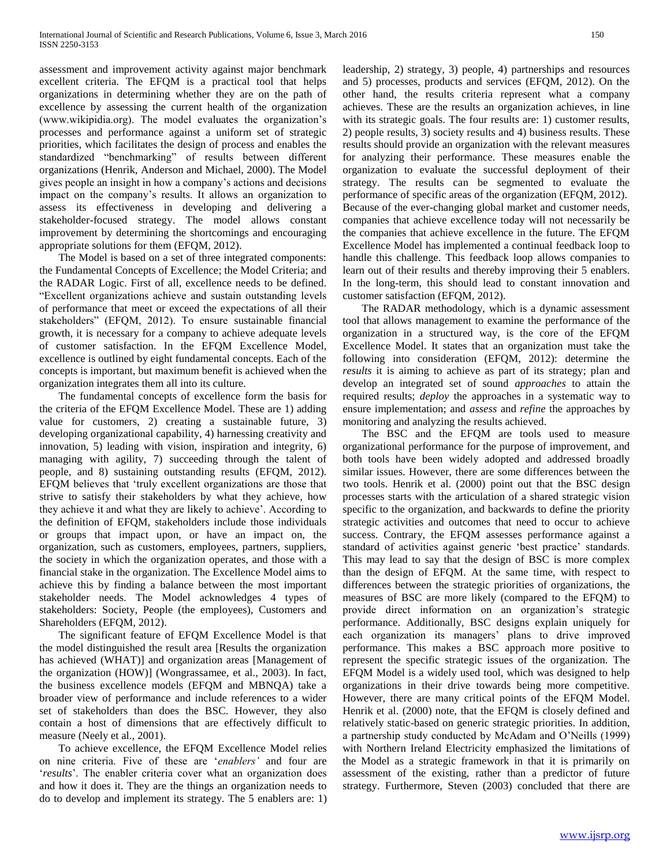assessment and improvement activity against major benchmark excellent criteria. The EFQM is a practical tool that helps organizations in determining whether they are on the path of excellence by assessing the current health of the organization (www.wikipidia.org). The model evaluates the organization's processes and performance against a uniform set of strategic priorities, which facilitates the design of process and enables the standardized "benchmarking" of results between different organizations (Henrik, Anderson and Michael, 2000). The Model gives people an insight in how a company's actions and decisions impact on the company's results. It allows an organization to assess its effectiveness in developing and delivering a stakeholder-focused strategy. The model allows constant improvement by determining the shortcomings and encouraging appropriate solutions for them (EFQM, 2012).

 The Model is based on a set of three integrated components: the Fundamental Concepts of Excellence; the Model Criteria; and the RADAR Logic. First of all, excellence needs to be defined. "Excellent organizations achieve and sustain outstanding levels of performance that meet or exceed the expectations of all their stakeholders" (EFQM, 2012). To ensure sustainable financial growth, it is necessary for a company to achieve adequate levels of customer satisfaction. In the EFQM Excellence Model, excellence is outlined by eight fundamental concepts. Each of the concepts is important, but maximum benefit is achieved when the organization integrates them all into its culture.

 The fundamental concepts of excellence form the basis for the criteria of the EFQM Excellence Model. These are 1) adding value for customers, 2) creating a sustainable future, 3) developing organizational capability, 4) harnessing creativity and innovation, 5) leading with vision, inspiration and integrity, 6) managing with agility, 7) succeeding through the talent of people, and 8) sustaining outstanding results (EFQM, 2012). EFQM believes that 'truly excellent organizations are those that strive to satisfy their stakeholders by what they achieve, how they achieve it and what they are likely to achieve'. According to the definition of EFQM, stakeholders include those individuals or groups that impact upon, or have an impact on, the organization, such as customers, employees, partners, suppliers, the society in which the organization operates, and those with a financial stake in the organization. The Excellence Model aims to achieve this by finding a balance between the most important stakeholder needs. The Model acknowledges 4 types of stakeholders: Society, People (the employees), Customers and Shareholders (EFQM, 2012).

 The significant feature of EFQM Excellence Model is that the model distinguished the result area [Results the organization has achieved (WHAT)] and organization areas [Management of the organization (HOW)] (Wongrassamee, et al., 2003). In fact, the business excellence models (EFQM and MBNQA) take a broader view of performance and include references to a wider set of stakeholders than does the BSC. However, they also contain a host of dimensions that are effectively difficult to measure (Neely et al., 2001).

 To achieve excellence, the EFQM Excellence Model relies on nine criteria. Five of these are '*enablers'* and four are '*results*'. The enabler criteria cover what an organization does and how it does it. They are the things an organization needs to do to develop and implement its strategy. The 5 enablers are: 1) leadership, 2) strategy, 3) people, 4) partnerships and resources and 5) processes, products and services (EFQM, 2012). On the other hand, the results criteria represent what a company achieves. These are the results an organization achieves, in line with its strategic goals. The four results are: 1) customer results, 2) people results, 3) society results and 4) business results. These results should provide an organization with the relevant measures for analyzing their performance. These measures enable the organization to evaluate the successful deployment of their strategy. The results can be segmented to evaluate the performance of specific areas of the organization (EFQM, 2012). Because of the ever-changing global market and customer needs, companies that achieve excellence today will not necessarily be the companies that achieve excellence in the future. The EFQM Excellence Model has implemented a continual feedback loop to handle this challenge. This feedback loop allows companies to learn out of their results and thereby improving their 5 enablers. In the long-term, this should lead to constant innovation and customer satisfaction (EFQM, 2012).

 The RADAR methodology, which is a dynamic assessment tool that allows management to examine the performance of the organization in a structured way, is the core of the EFQM Excellence Model. It states that an organization must take the following into consideration (EFQM, 2012): determine the *results* it is aiming to achieve as part of its strategy; plan and develop an integrated set of sound *approaches* to attain the required results; *deploy* the approaches in a systematic way to ensure implementation; and *assess* and *refine* the approaches by monitoring and analyzing the results achieved.

 The BSC and the EFQM are tools used to measure organizational performance for the purpose of improvement, and both tools have been widely adopted and addressed broadly similar issues. However, there are some differences between the two tools. Henrik et al. (2000) point out that the BSC design processes starts with the articulation of a shared strategic vision specific to the organization, and backwards to define the priority strategic activities and outcomes that need to occur to achieve success. Contrary, the EFQM assesses performance against a standard of activities against generic 'best practice' standards. This may lead to say that the design of BSC is more complex than the design of EFQM. At the same time, with respect to differences between the strategic priorities of organizations, the measures of BSC are more likely (compared to the EFQM) to provide direct information on an organization's strategic performance. Additionally, BSC designs explain uniquely for each organization its managers' plans to drive improved performance. This makes a BSC approach more positive to represent the specific strategic issues of the organization. The EFQM Model is a widely used tool, which was designed to help organizations in their drive towards being more competitive. However, there are many critical points of the EFQM Model. Henrik et al. (2000) note, that the EFQM is closely defined and relatively static-based on generic strategic priorities. In addition, a partnership study conducted by McAdam and O'Neills (1999) with Northern Ireland Electricity emphasized the limitations of the Model as a strategic framework in that it is primarily on assessment of the existing, rather than a predictor of future strategy. Furthermore, Steven (2003) concluded that there are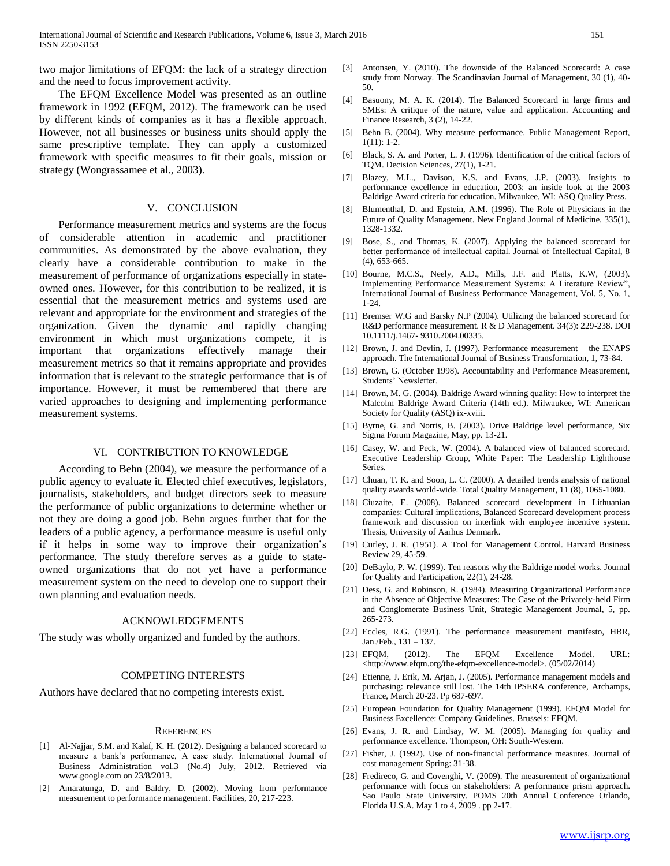two major limitations of EFQM: the lack of a strategy direction and the need to focus improvement activity.

 The EFQM Excellence Model was presented as an outline framework in 1992 (EFQM, 2012). The framework can be used by different kinds of companies as it has a flexible approach. However, not all businesses or business units should apply the same prescriptive template. They can apply a customized framework with specific measures to fit their goals, mission or strategy (Wongrassamee et al., 2003).

#### V. CONCLUSION

 Performance measurement metrics and systems are the focus of considerable attention in academic and practitioner communities. As demonstrated by the above evaluation, they clearly have a considerable contribution to make in the measurement of performance of organizations especially in stateowned ones. However, for this contribution to be realized, it is essential that the measurement metrics and systems used are relevant and appropriate for the environment and strategies of the organization. Given the dynamic and rapidly changing environment in which most organizations compete, it is important that organizations effectively manage their measurement metrics so that it remains appropriate and provides information that is relevant to the strategic performance that is of importance. However, it must be remembered that there are varied approaches to designing and implementing performance measurement systems.

#### VI. CONTRIBUTION TO KNOWLEDGE

 According to Behn (2004), we measure the performance of a public agency to evaluate it. Elected chief executives, legislators, journalists, stakeholders, and budget directors seek to measure the performance of public organizations to determine whether or not they are doing a good job. Behn argues further that for the leaders of a public agency, a performance measure is useful only if it helps in some way to improve their organization's performance. The study therefore serves as a guide to stateowned organizations that do not yet have a performance measurement system on the need to develop one to support their own planning and evaluation needs.

#### ACKNOWLEDGEMENTS

The study was wholly organized and funded by the authors.

#### COMPETING INTERESTS

Authors have declared that no competing interests exist.

#### **REFERENCES**

- [1] Al-Najjar, S.M. and Kalaf, K. H. (2012). Designing a balanced scorecard to measure a bank's performance, A case study. International Journal of Business Administration vol.3 (No.4) July, 2012. Retrieved via www.google.com on 23/8/2013.
- [2] Amaratunga, D. and Baldry, D. (2002). Moving from performance measurement to performance management. Facilities, 20, 217-223.
- [3] Antonsen, Y. (2010). The downside of the Balanced Scorecard: A case study from Norway. The Scandinavian Journal of Management, 30 (1), 40- 50.
- [4] Basuony, M. A. K. (2014). The Balanced Scorecard in large firms and SMEs: A critique of the nature, value and application. Accounting and Finance Research, 3 (2), 14-22.
- [5] Behn B. (2004). Why measure performance. Public Management Report, 1(11): 1-2.
- [6] Black, S. A. and Porter, L. J. (1996). Identification of the critical factors of TQM. Decision Sciences, 27(1), 1-21.
- [7] Blazey, M.L., Davison, K.S. and Evans, J.P. (2003). Insights to performance excellence in education, 2003: an inside look at the 2003 Baldrige Award criteria for education. Milwaukee, WI: ASQ Quality Press.
- [8] Blumenthal, D. and Epstein, A.M. (1996). The Role of Physicians in the Future of Quality Management. New England Journal of Medicine. 335(1), 1328-1332.
- [9] Bose, S., and Thomas, K. (2007). Applying the balanced scorecard for better performance of intellectual capital. Journal of Intellectual Capital, 8 (4), 653-665.
- [10] Bourne, M.C.S., Neely, A.D., Mills, J.F. and Platts, K.W, (2003). Implementing Performance Measurement Systems: A Literature Review", International Journal of Business Performance Management, Vol. 5, No. 1, 1-24.
- [11] Bremser W.G and Barsky N.P (2004). Utilizing the balanced scorecard for R&D performance measurement. R & D Management. 34(3): 229-238. DOI 10.1111/j.1467- 9310.2004.00335.
- [12] Brown, J. and Devlin, J. (1997). Performance measurement the ENAPS approach. The International Journal of Business Transformation, 1, 73-84.
- [13] Brown, G. (October 1998). Accountability and Performance Measurement, Students' Newsletter.
- [14] Brown, M. G. (2004). Baldrige Award winning quality: How to interpret the Malcolm Baldrige Award Criteria (14th ed.). Milwaukee, WI: American Society for Quality (ASQ) ix-xviii.
- [15] Byrne, G. and Norris, B. (2003). Drive Baldrige level performance, Six Sigma Forum Magazine, May, pp. 13-21.
- [16] Casey, W. and Peck, W. (2004). A balanced view of balanced scorecard. Executive Leadership Group, White Paper: The Leadership Lighthouse Series.
- [17] Chuan, T. K. and Soon, L. C. (2000). A detailed trends analysis of national quality awards world-wide. Total Quality Management, 11 (8), 1065-1080.
- [18] Ciuzaite, E. (2008). Balanced scorecard development in Lithuanian companies: Cultural implications, Balanced Scorecard development process framework and discussion on interlink with employee incentive system. Thesis, University of Aarhus Denmark.
- [19] Curley, J. R. (1951). A Tool for Management Control. Harvard Business Review 29, 45-59.
- [20] DeBaylo, P. W. (1999). Ten reasons why the Baldrige model works. Journal for Quality and Participation, 22(1), 24-28.
- [21] Dess, G. and Robinson, R. (1984). Measuring Organizational Performance in the Absence of Objective Measures: The Case of the Privately-held Firm and Conglomerate Business Unit, Strategic Management Journal, 5, pp. 265-273.
- [22] Eccles, R.G. (1991). The performance measurement manifesto, HBR, Jan./Feb., 131 – 137.
- [23] EFQM, (2012). The EFQM Excellence Model. URL: <http://www.efqm.org/the-efqm-excellence-model>. (05/02/2014)
- [24] Etienne, J. Erik, M. Arjan, J. (2005). Performance management models and purchasing: relevance still lost. The 14th IPSERA conference, Archamps, France, March 20-23. Pp 687-697.
- [25] European Foundation for Quality Management (1999). EFQM Model for Business Excellence: Company Guidelines. Brussels: EFQM.
- [26] Evans, J. R. and Lindsay, W. M. (2005). Managing for quality and performance excellence. Thompson, OH: South-Western.
- [27] Fisher, J. (1992). Use of non-financial performance measures. Journal of cost management Spring: 31-38.
- [28] Fredireco, G. and Covenghi, V. (2009). The measurement of organizational performance with focus on stakeholders: A performance prism approach. Sao Paulo State University. POMS 20th Annual Conference Orlando, Florida U.S.A. May 1 to 4, 2009 . pp 2-17.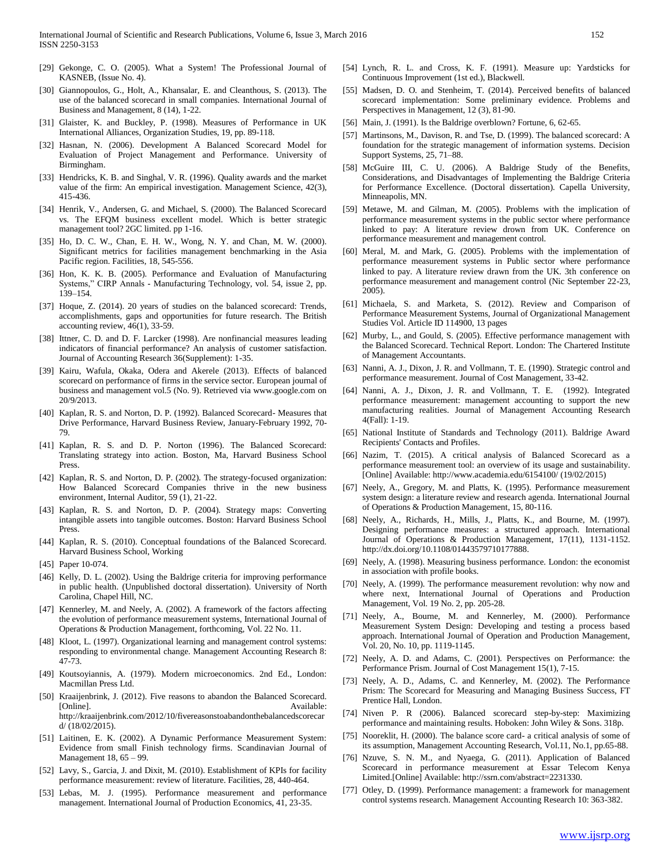- [29] Gekonge, C. O. (2005). What a System! The Professional Journal of KASNEB, (Issue No. 4).
- [30] Giannopoulos, G., Holt, A., Khansalar, E. and Cleanthous, S. (2013). The use of the balanced scorecard in small companies. International Journal of Business and Management, 8 (14), 1-22.
- [31] Glaister, K. and Buckley, P. (1998). Measures of Performance in UK International Alliances, Organization Studies, 19, pp. 89-118.
- [32] Hasnan, N. (2006). Development A Balanced Scorecard Model for Evaluation of Project Management and Performance. University of Birmingham.
- [33] Hendricks, K. B. and Singhal, V. R. (1996). Quality awards and the market value of the firm: An empirical investigation. Management Science, 42(3), 415-436.
- [34] Henrik, V., Andersen, G. and Michael, S. (2000). The Balanced Scorecard vs. The EFQM business excellent model. Which is better strategic management tool? 2GC limited. pp 1-16.
- [35] Ho, D. C. W., Chan, E. H. W., Wong, N. Y. and Chan, M. W. (2000). Significant metrics for facilities management benchmarking in the Asia Pacific region. Facilities, 18, 545-556.
- [36] Hon, K. K. B. (2005). Performance and Evaluation of Manufacturing Systems," CIRP Annals - Manufacturing Technology, vol. 54, issue 2, pp. 139–154.
- [37] Hoque, Z. (2014). 20 years of studies on the balanced scorecard: Trends, accomplishments, gaps and opportunities for future research. The British accounting review, 46(1), 33-59.
- [38] Ittner, C. D. and D. F. Larcker (1998). Are nonfinancial measures leading indicators of financial performance? An analysis of customer satisfaction. Journal of Accounting Research 36(Supplement): 1-35.
- [39] Kairu, Wafula, Okaka, Odera and Akerele (2013). Effects of balanced scorecard on performance of firms in the service sector. European journal of business and management vol.5 (No. 9). Retrieved via www.google.com on 20/9/2013.
- [40] Kaplan, R. S. and Norton, D. P. (1992). Balanced Scorecard- Measures that Drive Performance, Harvard Business Review, January-February 1992, 70- 79.
- [41] Kaplan, R. S. and D. P. Norton (1996). The Balanced Scorecard: Translating strategy into action. Boston, Ma, Harvard Business School Press.
- [42] Kaplan, R. S. and Norton, D. P. (2002). The strategy-focused organization: How Balanced Scorecard Companies thrive in the new business environment, Internal Auditor, 59 (1), 21-22.
- [43] Kaplan, R. S. and Norton, D. P. (2004). Strategy maps: Converting intangible assets into tangible outcomes. Boston: Harvard Business School Press.
- [44] Kaplan, R. S. (2010). Conceptual foundations of the Balanced Scorecard. Harvard Business School, Working
- [45] Paper 10-074.
- [46] Kelly, D. L. (2002). Using the Baldrige criteria for improving performance in public health. (Unpublished doctoral dissertation). University of North Carolina, Chapel Hill, NC.
- [47] Kennerley, M. and Neely, A. (2002). A framework of the factors affecting the evolution of performance measurement systems, International Journal of Operations & Production Management, forthcoming, Vol. 22 No. 11.
- [48] Kloot, L. (1997). Organizational learning and management control systems: responding to environmental change. Management Accounting Research 8: 47-73.
- [49] Koutsoyiannis, A. (1979). Modern microeconomics. 2nd Ed., London: Macmillan Press Ltd.
- [50] Kraaijenbrink, J. (2012). Five reasons to abandon the Balanced Scorecard. [Online]. Available: http://kraaijenbrink.com/2012/10/fivereasonstoabandonthebalancedscorecar d/ (18/02/2015).
- [51] Laitinen, E. K. (2002). A Dynamic Performance Measurement System: Evidence from small Finish technology firms. Scandinavian Journal of Management 18, 65 – 99.
- [52] Lavy, S., Garcia, J. and Dixit, M. (2010). Establishment of KPIs for facility performance measurement: review of literature. Facilities, 28, 440-464.
- [53] Lebas, M. J. (1995). Performance measurement and performance management. International Journal of Production Economics, 41, 23-35.
- [54] Lynch, R. L. and Cross, K. F. (1991). Measure up: Yardsticks for Continuous Improvement (1st ed.), Blackwell.
- [55] Madsen, D. O. and Stenheim, T. (2014). Perceived benefits of balanced scorecard implementation: Some preliminary evidence. Problems and Perspectives in Management, 12 (3), 81-90.
- [56] Main, J. (1991). Is the Baldrige overblown? Fortune, 6, 62-65.
- [57] Martinsons, M., Davison, R. and Tse, D. (1999). The balanced scorecard: A foundation for the strategic management of information systems. Decision Support Systems, 25, 71–88.
- [58] McGuire III, C. U. (2006). A Baldrige Study of the Benefits, Considerations, and Disadvantages of Implementing the Baldrige Criteria for Performance Excellence. (Doctoral dissertation). Capella University, Minneapolis, MN.
- [59] Metawe, M. and Gilman, M. (2005). Problems with the implication of performance measurement systems in the public sector where performance linked to pay: A literature review drown from UK. Conference on performance measurement and management control.
- [60] Meral, M. and Mark, G. (2005). Problems with the implementation of performance measurement systems in Public sector where performance linked to pay. A literature review drawn from the UK. 3th conference on performance measurement and management control (Nic September 22-23, 2005).
- [61] Michaela, S. and Marketa, S. (2012). Review and Comparison of Performance Measurement Systems, Journal of Organizational Management Studies Vol. Article ID 114900, 13 pages
- [62] Murby, L., and Gould, S. (2005). Effective performance management with the Balanced Scorecard. Technical Report. London: The Chartered Institute of Management Accountants.
- [63] Nanni, A. J., Dixon, J. R. and Vollmann, T. E. (1990). Strategic control and performance measurement. Journal of Cost Management, 33-42.
- [64] Nanni, A. J., Dixon, J. R. and Vollmann, T. E. (1992). Integrated performance measurement: management accounting to support the new manufacturing realities. Journal of Management Accounting Research 4(Fall): 1-19.
- [65] National Institute of Standards and Technology (2011). Baldrige Award Recipients' Contacts and Profiles.
- [66] Nazim, T. (2015). A critical analysis of Balanced Scorecard as a performance measurement tool: an overview of its usage and sustainability. [Online] Available: http://www.academia.edu/6154100/ (19/02/2015)
- [67] Neely, A., Gregory, M. and Platts, K. (1995). Performance measurement system design: a literature review and research agenda. International Journal of Operations & Production Management, 15, 80-116.
- [68] Neely, A., Richards, H., Mills, J., Platts, K., and Bourne, M. (1997). Designing performance measures: a structured approach. International Journal of Operations & Production Management, 17(11), 1131-1152. http://dx.doi.org/10.1108/01443579710177888.
- [69] Neely, A. (1998). Measuring business performance. London: the economist in association with profile books.
- [70] Neely, A. (1999). The performance measurement revolution: why now and where next, International Journal of Operations and Production Management, Vol. 19 No. 2, pp. 205-28.
- [71] Neely, A., Bourne, M. and Kennerley, M. (2000). Performance Measurement System Design: Developing and testing a process based approach. International Journal of Operation and Production Management, Vol. 20, No. 10, pp. 1119-1145.
- [72] Neely, A. D. and Adams, C. (2001). Perspectives on Performance: the Performance Prism. Journal of Cost Management 15(1), 7-15.
- [73] Neely, A. D., Adams, C. and Kennerley, M. (2002). The Performance Prism: The Scorecard for Measuring and Managing Business Success, FT Prentice Hall, London.
- [74] Niven P. R (2006). Balanced scorecard step-by-step: Maximizing performance and maintaining results. Hoboken: John Wiley & Sons. 318p.
- [75] Nooreklit, H. (2000). The balance score card- a critical analysis of some of its assumption, Management Accounting Research, Vol.11, No.1, pp.65-88.
- [76] Nzuve, S. N. M., and Nyaega, G. (2011). Application of Balanced Scorecard in performance measurement at Essar Telecom Kenya Limited.[Online] Available: http://ssrn.com/abstract=2231330.
- [77] Otley, D. (1999). Performance management: a framework for management control systems research. Management Accounting Research 10: 363-382.